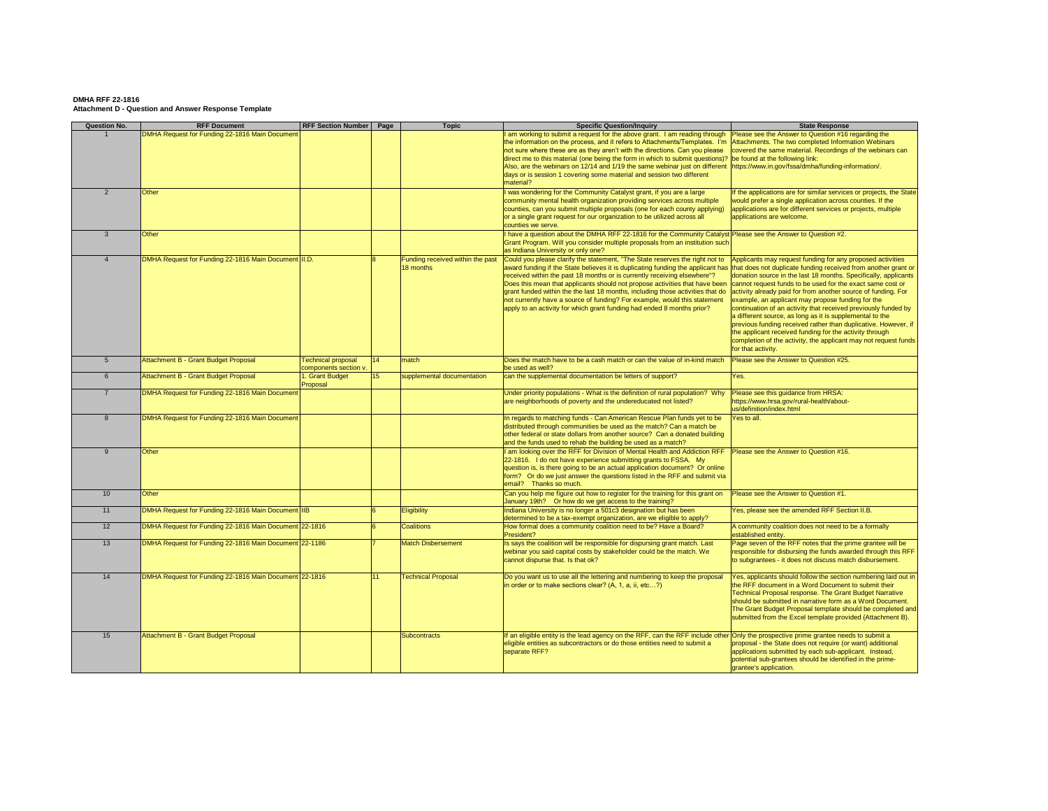| <b>Question No.</b> | <b>RFF Document</b>                                    | <b>RFF Section Number</b>                          | Page            | <b>Topic</b>                                  | <b>Specific Question/Inquiry</b>                                                                                                                                                                                                                                                                                                                                                                                                                                                                                                                                    | <b>State Response</b>                                                                                                                                                                                                                                                                                                                                                                                                                                                                                                                                                                                                                                                                                                                   |
|---------------------|--------------------------------------------------------|----------------------------------------------------|-----------------|-----------------------------------------------|---------------------------------------------------------------------------------------------------------------------------------------------------------------------------------------------------------------------------------------------------------------------------------------------------------------------------------------------------------------------------------------------------------------------------------------------------------------------------------------------------------------------------------------------------------------------|-----------------------------------------------------------------------------------------------------------------------------------------------------------------------------------------------------------------------------------------------------------------------------------------------------------------------------------------------------------------------------------------------------------------------------------------------------------------------------------------------------------------------------------------------------------------------------------------------------------------------------------------------------------------------------------------------------------------------------------------|
|                     | DMHA Request for Funding 22-1816 Main Document         |                                                    |                 |                                               | I am working to submit a request for the above grant. I am reading through<br>the information on the process, and it refers to Attachments/Templates. I'm                                                                                                                                                                                                                                                                                                                                                                                                           | Please see the Answer to Question #16 regarding the<br>Attachments. The two completed Information Webinars                                                                                                                                                                                                                                                                                                                                                                                                                                                                                                                                                                                                                              |
|                     |                                                        |                                                    |                 |                                               | not sure where these are as they aren't with the directions. Can you please<br>direct me to this material (one being the form in which to submit questions)?<br>Also, are the webinars on 12/14 and 1/19 the same webinar just on different<br>days or is session 1 covering some material and session two different<br>material?                                                                                                                                                                                                                                   | covered the same material. Recordings of the webinars can<br>be found at the following link:<br>https://www.in.gov/fssa/dmha/funding-information/.                                                                                                                                                                                                                                                                                                                                                                                                                                                                                                                                                                                      |
|                     | Other                                                  |                                                    |                 |                                               | was wondering for the Community Catalyst grant, if you are a large                                                                                                                                                                                                                                                                                                                                                                                                                                                                                                  | If the applications are for similar services or projects, the State                                                                                                                                                                                                                                                                                                                                                                                                                                                                                                                                                                                                                                                                     |
|                     |                                                        |                                                    |                 |                                               | community mental health organization providing services across multiple<br>counties, can you submit multiple proposals (one for each county applying)<br>or a single grant request for our organization to be utilized across all<br>counties we serve.                                                                                                                                                                                                                                                                                                             | would prefer a single application across counties. If the<br>applications are for different services or projects, multiple<br>applications are welcome.                                                                                                                                                                                                                                                                                                                                                                                                                                                                                                                                                                                 |
|                     | <b>Other</b>                                           |                                                    |                 |                                               | l have a question about the DMHA RFF 22-1816 for the Community Catalyst Please see the Answer to Question #2.<br>Grant Program. Will you consider multiple proposals from an institution such<br>as Indiana University or only one?                                                                                                                                                                                                                                                                                                                                 |                                                                                                                                                                                                                                                                                                                                                                                                                                                                                                                                                                                                                                                                                                                                         |
|                     | DMHA Request for Funding 22-1816 Main Document II.D.   |                                                    |                 | Funding received within the past<br>18 months | Could you please clarify the statement, "The State reserves the right not to<br>award funding if the State believes it is duplicating funding the applicant has<br>received within the past 18 months or is currently receiving elsewhere"?<br>Does this mean that applicants should not propose activities that have been<br>grant funded within the the last 18 months, including those activities that do<br>not currently have a source of funding? For example, would this statement<br>apply to an activity for which grant funding had ended 8 months prior? | Applicants may request funding for any proposed activities<br>that does not duplicate funding received from another grant or<br>donation source in the last 18 months. Specifically, applicants<br>cannot request funds to be used for the exact same cost or<br>activity already paid for from another source of funding. For<br>example, an applicant may propose funding for the<br>continuation of an activity that received previously funded by<br>a different source, as long as it is supplemental to the<br>previous funding received rather than duplicative. However, if<br>the applicant received funding for the activity through<br>completion of the activity, the applicant may not request funds<br>for that activity. |
|                     | <b>Attachment B - Grant Budget Proposal</b>            | <b>Technical proposal</b><br>components section v. | 14              | match                                         | Does the match have to be a cash match or can the value of in-kind match<br>be used as well?                                                                                                                                                                                                                                                                                                                                                                                                                                                                        | Please see the Answer to Question #25.                                                                                                                                                                                                                                                                                                                                                                                                                                                                                                                                                                                                                                                                                                  |
|                     | <b>Attachment B - Grant Budget Proposal</b>            | I. Grant Budget<br>Proposal                        | 15 <sup>2</sup> | supplemental documentation                    | can the supplemental documentation be letters of support?                                                                                                                                                                                                                                                                                                                                                                                                                                                                                                           | Yes.                                                                                                                                                                                                                                                                                                                                                                                                                                                                                                                                                                                                                                                                                                                                    |
|                     | DMHA Request for Funding 22-1816 Main Document         |                                                    |                 |                                               | Under priority populations - What is the definition of rural population? Why   Please see this guidance from HRSA:<br>are neighborhoods of poverty and the undereducated not listed?                                                                                                                                                                                                                                                                                                                                                                                | https://www.hrsa.gov/rural-health/about-<br>us/definition/index.html                                                                                                                                                                                                                                                                                                                                                                                                                                                                                                                                                                                                                                                                    |
| 8                   | DMHA Request for Funding 22-1816 Main Document         |                                                    |                 |                                               | In regards to matching funds - Can American Rescue Plan funds yet to be<br>distributed through communities be used as the match? Can a match be<br>other federal or state dollars from another source? Can a donated building<br>and the funds used to rehab the building be used as a match?                                                                                                                                                                                                                                                                       | Yes to all.                                                                                                                                                                                                                                                                                                                                                                                                                                                                                                                                                                                                                                                                                                                             |
|                     | <b>Other</b>                                           |                                                    |                 |                                               | I am looking over the RFF for Division of Mental Health and Addiction RFF<br>22-1816. I do not have experience submitting grants to FSSA. My<br>question is, is there going to be an actual application document? Or online<br>form? Or do we just answer the questions listed in the RFF and submit via<br>email? Thanks so much.                                                                                                                                                                                                                                  | Please see the Answer to Question #16.                                                                                                                                                                                                                                                                                                                                                                                                                                                                                                                                                                                                                                                                                                  |
| 10                  | <b>Other</b>                                           |                                                    |                 |                                               | Can you help me figure out how to register for the training for this grant on<br>January 19th? Or how do we get access to the training?                                                                                                                                                                                                                                                                                                                                                                                                                             | Please see the Answer to Question #1.                                                                                                                                                                                                                                                                                                                                                                                                                                                                                                                                                                                                                                                                                                   |
| 11                  | DMHA Request for Funding 22-1816 Main Document IIB     |                                                    |                 | <b>Eligibility</b>                            | Indiana University is no longer a 501c3 designation but has been<br>determined to be a tax-exempt organization, are we eligible to apply?                                                                                                                                                                                                                                                                                                                                                                                                                           | Yes, please see the amended RFF Section II.B.                                                                                                                                                                                                                                                                                                                                                                                                                                                                                                                                                                                                                                                                                           |
| 12                  | DMHA Request for Funding 22-1816 Main Document 22-1816 |                                                    |                 | <b>Coalitions</b>                             | How formal does a community coalition need to be? Have a Board?<br>President?                                                                                                                                                                                                                                                                                                                                                                                                                                                                                       | A community coalition does not need to be a formally<br>established entity.                                                                                                                                                                                                                                                                                                                                                                                                                                                                                                                                                                                                                                                             |
| 13                  | DMHA Request for Funding 22-1816 Main Document 22-1186 |                                                    |                 | <b>Match Disbersement</b>                     | Is says the coalition will be responsible for dispursing grant match. Last<br>webinar you said capital costs by stakeholder could be the match. We<br>cannot dispurse that. Is that ok?                                                                                                                                                                                                                                                                                                                                                                             | Page seven of the RFF notes that the prime grantee will be<br>responsible for disbursing the funds awarded through this RFF<br>to subgrantees - it does not discuss match disbursement.                                                                                                                                                                                                                                                                                                                                                                                                                                                                                                                                                 |
| 14                  | DMHA Request for Funding 22-1816 Main Document 22-1816 |                                                    |                 | <b>Technical Proposal</b>                     | Do you want us to use all the lettering and numbering to keep the proposal<br>in order or to make sections clear? $(A, 1, a, ii, etc?)$                                                                                                                                                                                                                                                                                                                                                                                                                             | Yes, applicants should follow the section numbering laid out in<br>the RFF document in a Word Document to submit their<br>Technical Proposal response. The Grant Budget Narrative<br>should be submitted in narrative form as a Word Document.<br>The Grant Budget Proposal template should be completed and<br>submitted from the Excel template provided (Attachment B).                                                                                                                                                                                                                                                                                                                                                              |
| 15                  | <b>Attachment B - Grant Budget Proposal</b>            |                                                    |                 | Subcontracts                                  | If an eligible entity is the lead agency on the RFF, can the RFF include other│Only the prospective prime grantee needs to submit a<br>eligible entities as subcontractors or do those entities need to submit a<br>separate RFF?                                                                                                                                                                                                                                                                                                                                   | proposal - the State does not require (or want) additional<br>applications submitted by each sub-applicant. Instead,<br>potential sub-grantees should be identified in the prime-<br>grantee's application.                                                                                                                                                                                                                                                                                                                                                                                                                                                                                                                             |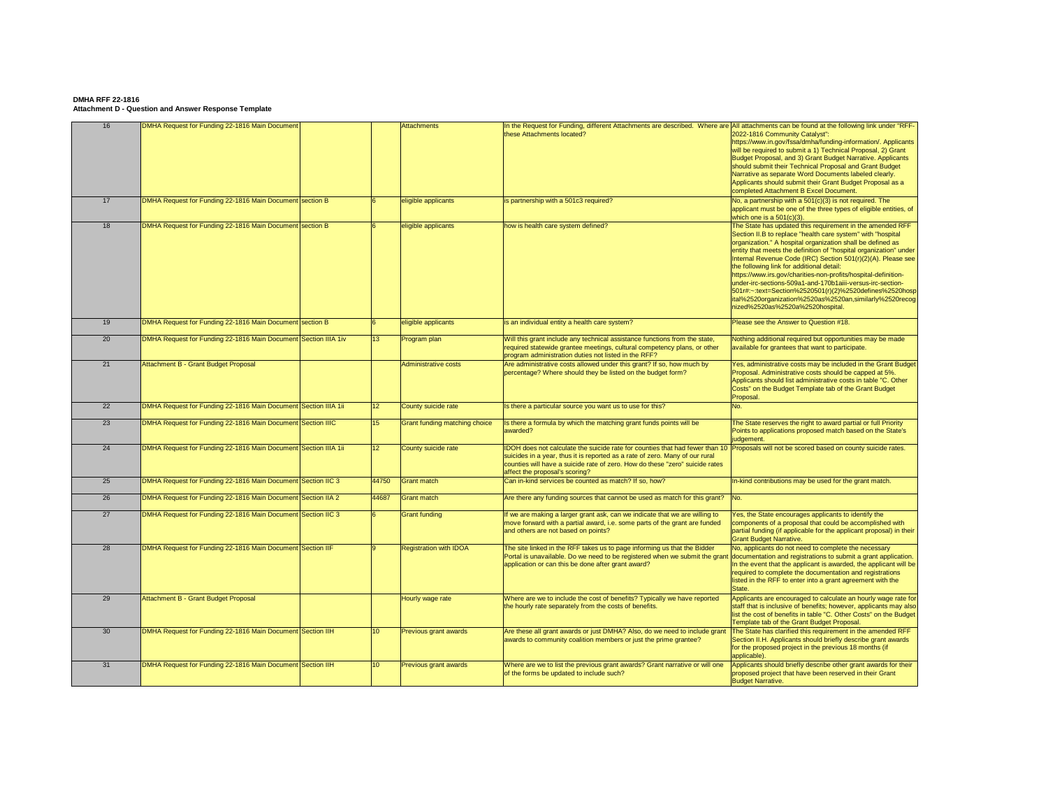| 16 | DMHA Request for Funding 22-1816 Main Document                  |                 | <b>Attachments</b>                   | In the Request for Funding, different Attachments are described. Where are All attachments can be found at the following link under "RFF-<br>these Attachments located?                                                                     | 2022-1816 Community Catalyst":<br>https://www.in.gov/fssa/dmha/funding-information/. Applicants<br>will be required to submit a 1) Technical Proposal, 2) Grant<br>Budget Proposal, and 3) Grant Budget Narrative. Applicants<br>should submit their Technical Proposal and Grant Budget<br>Narrative as separate Word Documents labeled clearly.<br>Applicants should submit their Grant Budget Proposal as a<br>completed Attachment B Excel Document.                                                                                                                                                                                                           |
|----|-----------------------------------------------------------------|-----------------|--------------------------------------|---------------------------------------------------------------------------------------------------------------------------------------------------------------------------------------------------------------------------------------------|--------------------------------------------------------------------------------------------------------------------------------------------------------------------------------------------------------------------------------------------------------------------------------------------------------------------------------------------------------------------------------------------------------------------------------------------------------------------------------------------------------------------------------------------------------------------------------------------------------------------------------------------------------------------|
| 17 | DMHA Request for Funding 22-1816 Main Document Section B        |                 | eligible applicants                  | is partnership with a 501c3 required?                                                                                                                                                                                                       | No, a partnership with a $501(c)(3)$ is not required. The<br>applicant must be one of the three types of eligible entities, of<br>which one is a $501(c)(3)$ .                                                                                                                                                                                                                                                                                                                                                                                                                                                                                                     |
| 18 | DMHA Request for Funding 22-1816 Main Document section B        |                 | eligible applicants                  | how is health care system defined?                                                                                                                                                                                                          | The State has updated this requirement in the amended RFF<br>Section II.B to replace "health care system" with "hospital<br>organization." A hospital organization shall be defined as<br>entity that meets the definition of "hospital organization" under<br>Internal Revenue Code (IRC) Section 501(r)(2)(A). Please see<br>the following link for additional detail:<br>https://www.irs.gov/charities-non-profits/hospital-definition-<br>under-irc-sections-509a1-and-170b1aiii-versus-irc-section-<br>501r#:~:text=Section%2520501(r)(2)%2520defines%2520hosp<br>ital%2520organization%2520as%2520an,similarly%2520recog<br>nized%2520as%2520a%2520hospital. |
| 19 | DMHA Request for Funding 22-1816 Main Document section B        |                 | eligible applicants                  | is an individual entity a health care system?                                                                                                                                                                                               | Please see the Answer to Question #18.                                                                                                                                                                                                                                                                                                                                                                                                                                                                                                                                                                                                                             |
| 20 | DMHA Request for Funding 22-1816 Main Document Section IIIA 1iv | 13 <sup>°</sup> | Program plan                         | Will this grant include any technical assistance functions from the state,<br>required statewide grantee meetings, cultural competency plans, or other<br>program administration duties not listed in the RFF?                              | Nothing additional required but opportunities may be made<br>available for grantees that want to participate.                                                                                                                                                                                                                                                                                                                                                                                                                                                                                                                                                      |
| 21 | <b>Attachment B - Grant Budget Proposal</b>                     |                 | Administrative costs                 | Are administrative costs allowed under this grant? If so, how much by<br>percentage? Where should they be listed on the budget form?                                                                                                        | Yes, administrative costs may be included in the Grant Budget<br>Proposal. Administrative costs should be capped at 5%.<br>Applicants should list administrative costs in table "C. Other<br>Costs" on the Budget Template tab of the Grant Budget<br>Proposal.                                                                                                                                                                                                                                                                                                                                                                                                    |
| 22 | DMHA Request for Funding 22-1816 Main Document Section IIIA 1ii | 12 <sub>2</sub> | County suicide rate                  | Is there a particular source you want us to use for this?                                                                                                                                                                                   | No.                                                                                                                                                                                                                                                                                                                                                                                                                                                                                                                                                                                                                                                                |
| 23 | DMHA Request for Funding 22-1816 Main Document Section IIIC     | 15 <sup>2</sup> | <b>Grant funding matching choice</b> | Is there a formula by which the matching grant funds points will be<br>awarded?                                                                                                                                                             | The State reserves the right to award partial or full Priority<br>Points to applications proposed match based on the State's<br>judgement.                                                                                                                                                                                                                                                                                                                                                                                                                                                                                                                         |
| 24 | DMHA Request for Funding 22-1816 Main Document Section IIIA 1ii | 12 <sup>2</sup> | County suicide rate                  | DOH does not calculate the suicide rate for counties that had fewer than 10<br>suicides in a year, thus it is reported as a rate of zero. Many of our rural<br>counties will have a suicide rate of zero. How do these "zero" suicide rates | Proposals will not be scored based on county suicide rates.                                                                                                                                                                                                                                                                                                                                                                                                                                                                                                                                                                                                        |
|    |                                                                 |                 |                                      | affect the proposal's scoring?                                                                                                                                                                                                              |                                                                                                                                                                                                                                                                                                                                                                                                                                                                                                                                                                                                                                                                    |
| 25 | DMHA Request for Funding 22-1816 Main Document Section IIC 3    | 44750           | <b>Grant match</b>                   | Can in-kind services be counted as match? If so, how?                                                                                                                                                                                       | In-kind contributions may be used for the grant match.                                                                                                                                                                                                                                                                                                                                                                                                                                                                                                                                                                                                             |
| 26 | DMHA Request for Funding 22-1816 Main Document Section IIA 2    | 44687           | <b>Grant match</b>                   | Are there any funding sources that cannot be used as match for this grant?                                                                                                                                                                  | $\blacksquare$ No.                                                                                                                                                                                                                                                                                                                                                                                                                                                                                                                                                                                                                                                 |
| 27 | DMHA Request for Funding 22-1816 Main Document Section IIC 3    |                 | <b>Grant funding</b>                 | If we are making a larger grant ask, can we indicate that we are willing to<br>move forward with a partial award, i.e. some parts of the grant are funded<br>and others are not based on points?                                            | Yes, the State encourages applicants to identify the<br>components of a proposal that could be accomplished with<br>partial funding (if applicable for the applicant proposal) in their<br><b>Grant Budget Narrative.</b>                                                                                                                                                                                                                                                                                                                                                                                                                                          |
| 28 | DMHA Request for Funding 22-1816 Main Document Section IIF      |                 | <b>Registration with IDOA</b>        | The site linked in the RFF takes us to page informing us that the Bidder<br>Portal is unavailable. Do we need to be registered when we submit the grant<br>application or can this be done after grant award?                               | No, applicants do not need to complete the necessary<br>documentation and registrations to submit a grant application.<br>In the event that the applicant is awarded, the applicant will be<br>required to complete the documentation and registrations<br>listed in the RFF to enter into a grant agreement with the<br>State.                                                                                                                                                                                                                                                                                                                                    |
| 29 | <b>Attachment B - Grant Budget Proposal</b>                     |                 | Hourly wage rate                     | Where are we to include the cost of benefits? Typically we have reported<br>the hourly rate separately from the costs of benefits.                                                                                                          | Applicants are encouraged to calculate an hourly wage rate for<br>staff that is inclusive of benefits; however, applicants may also<br>list the cost of benefits in table "C. Other Costs" on the Budget<br>Template tab of the Grant Budget Proposal.                                                                                                                                                                                                                                                                                                                                                                                                             |
| 30 | DMHA Request for Funding 22-1816 Main Document Section IIH      | 10 <sup>°</sup> | <b>Previous grant awards</b>         | Are these all grant awards or just DMHA? Also, do we need to include grant<br>awards to community coalition members or just the prime grantee?                                                                                              | The State has clarified this requirement in the amended RFF<br>Section II.H. Applicants should briefly describe grant awards<br>for the proposed project in the previous 18 months (if<br>applicable).                                                                                                                                                                                                                                                                                                                                                                                                                                                             |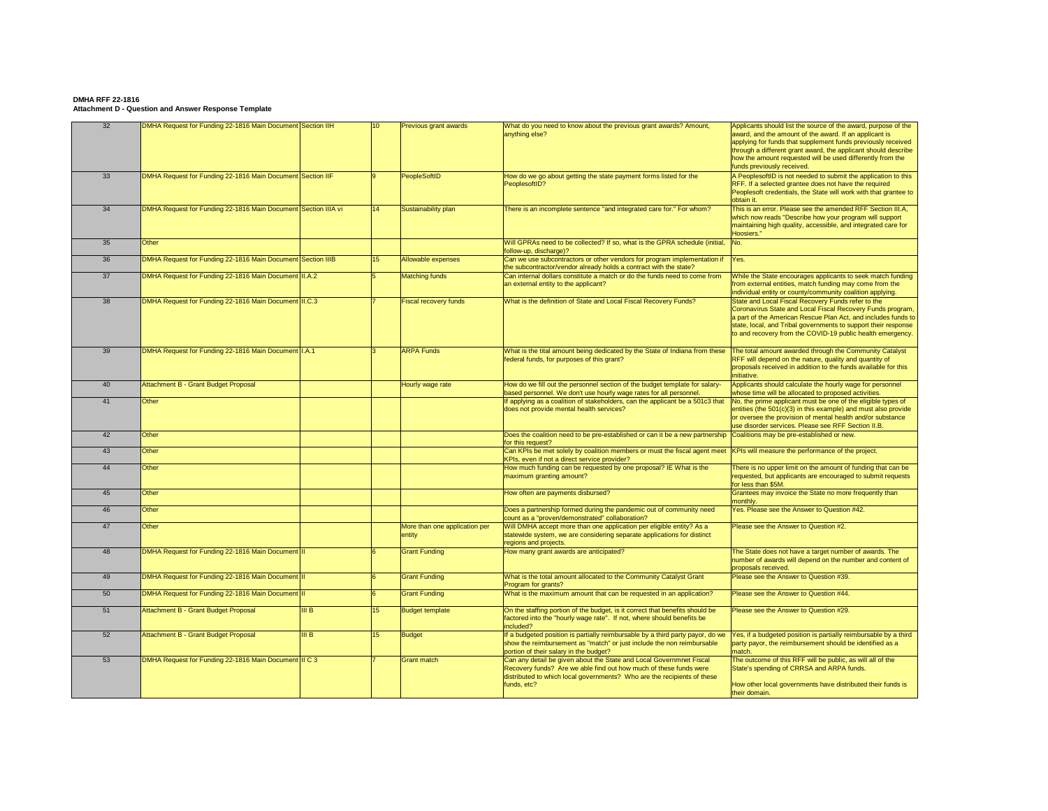| 32 | DMHA Request for Funding 22-1816 Main Document Section IIH     |      | 10 <sup>°</sup> | <b>Previous grant awards</b>            | What do you need to know about the previous grant awards? Amount,<br>anything else?                                                                                                                                                | Applicants should list the source of the award, purpose of the<br>award, and the amount of the award. If an applicant is<br>applying for funds that supplement funds previously received<br>through a different grant award, the applicant should describe<br>how the amount requested will be used differently from the<br>funds previously received. |
|----|----------------------------------------------------------------|------|-----------------|-----------------------------------------|------------------------------------------------------------------------------------------------------------------------------------------------------------------------------------------------------------------------------------|--------------------------------------------------------------------------------------------------------------------------------------------------------------------------------------------------------------------------------------------------------------------------------------------------------------------------------------------------------|
| 33 | DMHA Request for Funding 22-1816 Main Document Section IIF     |      |                 | PeopleSoftID                            | How do we go about getting the state payment forms listed for the<br>PeoplesoftID?                                                                                                                                                 | A PeoplesoftID is not needed to submit the application to this<br>RFF. If a selected grantee does not have the required<br>Peoplesoft credentials, the State will work with that grantee to<br>obtain it.                                                                                                                                              |
| 34 | DMHA Request for Funding 22-1816 Main Document Section IIIA vi |      | 14              | Sustainability plan                     | There is an incomplete sentence "and integrated care for." For whom?                                                                                                                                                               | This is an error. Please see the amended RFF Section III.A,<br>which now reads "Describe how your program will support<br>maintaining high quality, accessible, and integrated care for<br>Hoosiers."                                                                                                                                                  |
| 35 | Other                                                          |      |                 |                                         | Will GPRAs need to be collected? If so, what is the GPRA schedule (initial,<br>follow-up, discharge)?                                                                                                                              | No.                                                                                                                                                                                                                                                                                                                                                    |
| 36 | DMHA Request for Funding 22-1816 Main Document Section IIIB    |      | 15              | Allowable expenses                      | Can we use subcontractors or other vendors for program implementation if<br>the subcontractor/vendor already holds a contract with the state?                                                                                      | Yes.                                                                                                                                                                                                                                                                                                                                                   |
| 37 | DMHA Request for Funding 22-1816 Main Document   II.A.2        |      |                 | <b>Matching funds</b>                   | Can internal dollars constitute a match or do the funds need to come from<br>an external entity to the applicant?                                                                                                                  | While the State encourages applicants to seek match funding<br>from external entities, match funding may come from the<br>individual entity or county/community coalition applying.                                                                                                                                                                    |
| 38 | DMHA Request for Funding 22-1816 Main Document III.C.3         |      |                 | <b>Fiscal recovery funds</b>            | What is the definition of State and Local Fiscal Recovery Funds?                                                                                                                                                                   | State and Local Fiscal Recovery Funds refer to the<br>Coronavirus State and Local Fiscal Recovery Funds program,<br>a part of the American Rescue Plan Act, and includes funds to<br>state, local, and Tribal governments to support their response<br>to and recovery from the COVID-19 public health emergency.                                      |
| 39 | DMHA Request for Funding 22-1816 Main Document   I.A.1         |      |                 | <b>ARPA Funds</b>                       | What is the tital amount being dedicated by the State of Indiana from these<br>federal funds, for purposes of this grant?                                                                                                          | The total amount awarded through the Community Catalyst<br>RFF will depend on the nature, quality and quantity of<br>proposals received in addition to the funds available for this<br>initiative.                                                                                                                                                     |
| 40 | Attachment B - Grant Budget Proposal                           |      |                 | Hourly wage rate                        | How do we fill out the personnel section of the budget template for salary-<br>based personnel. We don't use hourly wage rates for all personnel.                                                                                  | Applicants should calculate the hourly wage for personnel<br>whose time will be allocated to proposed activities.                                                                                                                                                                                                                                      |
| 41 | Other                                                          |      |                 |                                         | If applying as a coalition of stakeholders, can the applicant be a 501c3 that<br>does not provide mental health services?                                                                                                          | No, the prime applicant must be one of the eligible types of<br>entities (the $501(c)(3)$ in this example) and must also provide<br>or oversee the provision of mental health and/or substance<br>use disorder services. Please see RFF Section II.B.                                                                                                  |
| 42 | Other                                                          |      |                 |                                         | Does the coalition need to be pre-established or can it be a new partnership  Coalitions may be pre-established or new.<br>for this request?                                                                                       |                                                                                                                                                                                                                                                                                                                                                        |
| 43 | Other                                                          |      |                 |                                         | Can KPIs be met solely by coalition members or must the fiscal agent meet KPIs will measure the performance of the project.<br>KPIs, even if not a direct service provider?                                                        |                                                                                                                                                                                                                                                                                                                                                        |
| 44 | <b>Other</b>                                                   |      |                 |                                         | How much funding can be requested by one proposal? IE What is the<br>maximum granting amount?                                                                                                                                      | There is no upper limit on the amount of funding that can be<br>requested, but applicants are encouraged to submit requests<br>for less than \$5M.                                                                                                                                                                                                     |
| 45 | Other                                                          |      |                 |                                         | How often are payments disbursed?                                                                                                                                                                                                  | Grantees may invoice the State no more frequently than<br>monthly.                                                                                                                                                                                                                                                                                     |
| 46 | <b>Other</b>                                                   |      |                 |                                         | Does a partnership formed during the pandemic out of community need<br>count as a "proven/demonstrated" collaboration?                                                                                                             | Yes. Please see the Answer to Question #42.                                                                                                                                                                                                                                                                                                            |
| 47 | <b>Other</b>                                                   |      |                 | More than one application per<br>entity | Will DMHA accept more than one application per eligible entity? As a<br>statewide system, we are considering separate applications for distinct<br>regions and projects.                                                           | Please see the Answer to Question #2.                                                                                                                                                                                                                                                                                                                  |
| 48 | DMHA Request for Funding 22-1816 Main Document III             |      |                 | <b>Grant Funding</b>                    | How many grant awards are anticipated?                                                                                                                                                                                             | The State does not have a target number of awards. The<br>number of awards will depend on the number and content of<br>proposals received.                                                                                                                                                                                                             |
| 49 | DMHA Request for Funding 22-1816 Main Document III             |      |                 | <b>Grant Funding</b>                    | What is the total amount allocated to the Community Catalyst Grant<br>Program for grants?                                                                                                                                          | Please see the Answer to Question #39.                                                                                                                                                                                                                                                                                                                 |
| 50 | DMHA Request for Funding 22-1816 Main Document  II             |      |                 | <b>Grant Funding</b>                    | What is the maximum amount that can be requested in an application?                                                                                                                                                                | Please see the Answer to Question #44.                                                                                                                                                                                                                                                                                                                 |
| 51 | Attachment B - Grant Budget Proposal                           | II B | 15              | <b>Budget template</b>                  | On the staffing portion of the budget, is it correct that benefits should be<br>factored into the "hourly wage rate". If not, where should benefits be<br>included?                                                                | Please see the Answer to Question #29.                                                                                                                                                                                                                                                                                                                 |
| 52 | Attachment B - Grant Budget Proposal                           | II B | 15              | Budget                                  | If a budgeted position is partially reimbursable by a third party payor, do we<br>show the reimbursement as "match" or just include the non reimbursable<br>portion of their salary in the budget?                                 | Yes, if a budgeted position is partially reimbursable by a third<br>party payor, the reimbursement should be identified as a<br>match.                                                                                                                                                                                                                 |
| 53 | DMHA Request for Funding 22-1816 Main Document II C 3          |      |                 | <b>Grant match</b>                      | Can any detail be given about the State and Local Governmnet Fiscal<br>Recovery funds? Are we able find out how much of these funds were<br>distributed to which local governments? Who are the recipients of these<br>funds, etc? | The outcome of this RFF will be public, as will all of the<br>State's spending of CRRSA and ARPA funds.<br>How other local governments have distributed their funds is<br>their domain.                                                                                                                                                                |